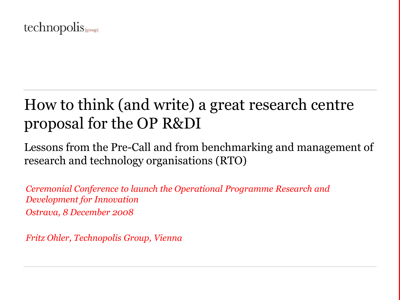

# How to think (and write) a great research centre proposal for the OP R&DI

Lessons from the Pre-Call and from benchmarking and management of research and technology organisations (RTO)

*Ceremonial Conference to launch the Operational Programme Research and Development for Innovation Ostrava, 8 December 2008*

*Fritz Ohler, Technopolis Group, Vienna*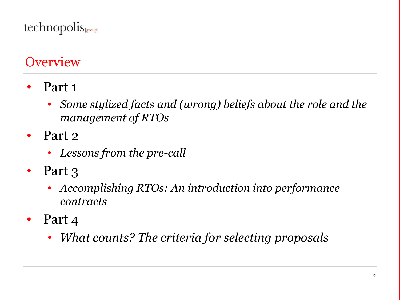technopolis

## **Overview**

- Part 1
	- *Some stylized facts and (wrong) beliefs about the role and the management of RTOs*
- Part 2
	- *Lessons from the pre-call*
- Part 3
	- *Accomplishing RTOs: An introduction into performance contracts*
- Part 4
	- *What counts? The criteria for selecting proposals*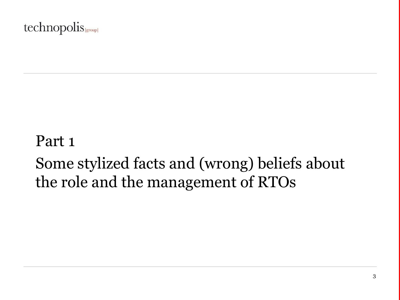### technopolis

# Part 1 Some stylized facts and (wrong) beliefs about the role and the management of RTOs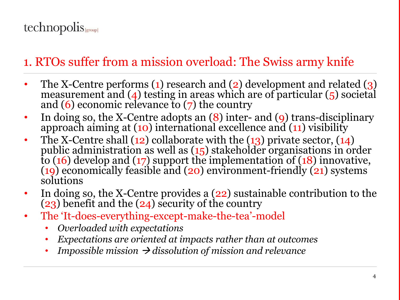## 1. RTOs suffer from a mission overload: The Swiss army knife

- The X-Centre performs (1) research and (2) development and related (3) measurement and  $(4)$  testing in areas which are of particular  $(5)$  societal and  $(6)$  economic relevance to  $(7)$  the country
- In doing so, the X-Centre adopts an (8) inter- and (9) trans-disciplinary approach aiming at (10) international excellence and (11) visibility
- The X-Centre shall  $(12)$  collaborate with the  $(13)$  private sector,  $(14)$ public administration as well as (15) stakeholder organisations in order to (16) develop and (17) support the implementation of (18) innovative, (19) economically feasible and (20) environment-friendly (21) systems solutions
- In doing so, the X-Centre provides a (22) sustainable contribution to the (23) benefit and the  $(24)$  security of the country
- The 'It-does-everything-except-make-the-tea'-model
	- *Overloaded with expectations*
	- *Expectations are oriented at impacts rather than at outcomes*
	- *Impossible mission*  $\rightarrow$  *dissolution of mission and relevance*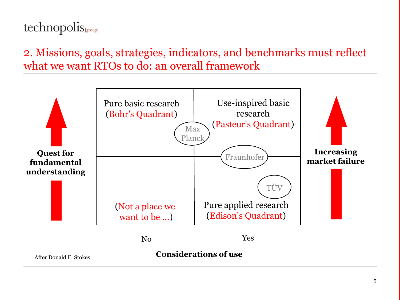## technopolis sproup

2. Missions, goals, strategies, indicators, and benchmarks must reflect what we want RTOs to do: an overall framework

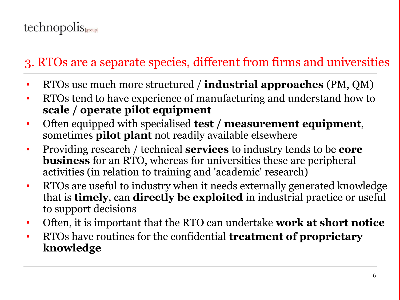## 3. RTOs are a separate species, different from firms and universities

- RTOs use much more structured / **industrial approaches** (PM, QM)
- RTOs tend to have experience of manufacturing and understand how to **scale / operate pilot equipment**
- Often equipped with specialised **test / measurement equipment**, sometimes **pilot plant** not readily available elsewhere
- Providing research / technical **services** to industry tends to be **core business** for an RTO, whereas for universities these are peripheral activities (in relation to training and 'academic' research)
- RTOs are useful to industry when it needs externally generated knowledge that is **timely**, can **directly be exploited** in industrial practice or useful to support decisions
- Often, it is important that the RTO can undertake **work at short notice**
- RTOs have routines for the confidential **treatment of proprietary knowledge**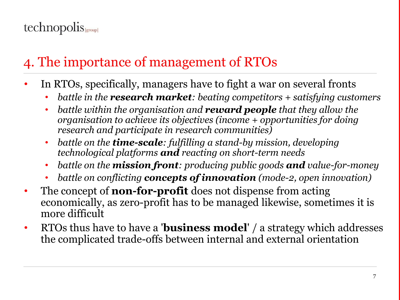## 4. The importance of management of RTOs

- In RTOs, specifically, managers have to fight a war on several fronts
	- *battle in the research market: beating competitors + satisfying customers*
	- *battle within the organisation and reward people that they allow the organisation to achieve its objectives (income + opportunities for doing research and participate in research communities)*
	- *battle on the time-scale: fulfilling a stand-by mission, developing technological platforms and reacting on short-term needs*
	- *battle on the mission front: producing public goods and value-for-money*
	- *battle on conflicting concepts of innovation (mode-2, open innovation)*
- The concept of **non-for-profit** does not dispense from acting economically, as zero-profit has to be managed likewise, sometimes it is more difficult
- RTOs thus have to have a '**business model**' / a strategy which addresses the complicated trade-offs between internal and external orientation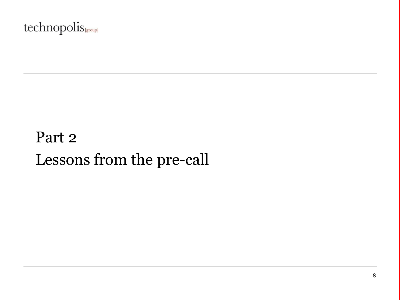### technopolis sproup

# Part 2 Lessons from the pre-call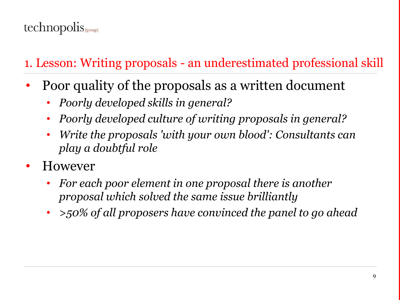## 1. Lesson: Writing proposals - an underestimated professional skill

- Poor quality of the proposals as a written document
	- *Poorly developed skills in general?*
	- *Poorly developed culture of writing proposals in general?*
	- *Write the proposals 'with your own blood': Consultants can play a doubtful role*
- However
	- *For each poor element in one proposal there is another proposal which solved the same issue brilliantly*
	- *>50% of all proposers have convinced the panel to go ahead*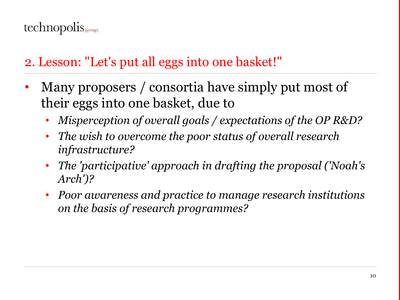## 2. Lesson: "Let's put all eggs into one basket!"

- Many proposers / consortia have simply put most of their eggs into one basket, due to
	- *Misperception of overall goals / expectations of the OP R&D?*
	- *The wish to overcome the poor status of overall research infrastructure?*
	- *The 'participative' approach in drafting the proposal ('Noah's Arch')?*
	- *Poor awareness and practice to manage research institutions on the basis of research programmes?*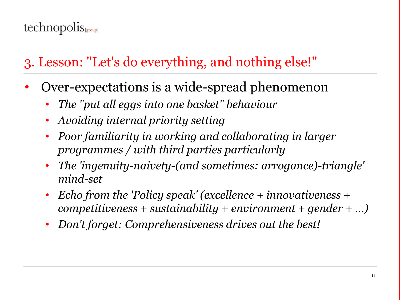## 3. Lesson: "Let's do everything, and nothing else!"

- Over-expectations is a wide-spread phenomenon
	- *The "put all eggs into one basket" behaviour*
	- *Avoiding internal priority setting*
	- *Poor familiarity in working and collaborating in larger programmes / with third parties particularly*
	- *The 'ingenuity-naivety-(and sometimes: arrogance)-triangle' mind-set*
	- *Echo from the 'Policy speak' (excellence + innovativeness + competitiveness + sustainability + environment + gender + …)*
	- *Don't forget: Comprehensiveness drives out the best!*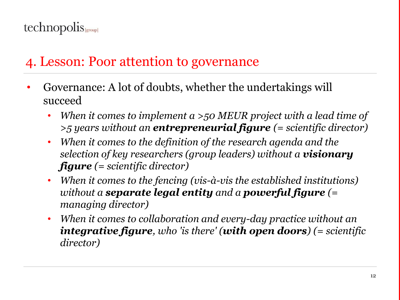## 4. Lesson: Poor attention to governance

- Governance: A lot of doubts, whether the undertakings will succeed
	- *When it comes to implement a >50 MEUR project with a lead time of >5 years without an entrepreneurial figure (= scientific director)*
	- *When it comes to the definition of the research agenda and the selection of key researchers (group leaders) without a visionary figure (= scientific director)*
	- *When it comes to the fencing (vis-à-vis the established institutions) without a separate legal entity and a powerful figure (= managing director)*
	- *When it comes to collaboration and every-day practice without an integrative figure, who 'is there' (with open doors) (= scientific director)*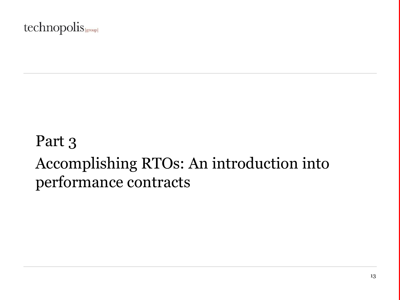### technopolis |group|

# Part 3 Accomplishing RTOs: An introduction into performance contracts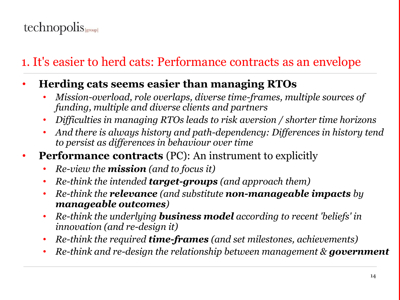## 1. It's easier to herd cats: Performance contracts as an envelope

- **Herding cats seems easier than managing RTOs**
	- *Mission-overload, role overlaps, diverse time-frames, multiple sources of funding, multiple and diverse clients and partners*
	- *Difficulties in managing RTOs leads to risk aversion / shorter time horizons*
	- *And there is always history and path-dependency: Differences in history tend to persist as differences in behaviour over time*
- **Performance contracts** (PC): An instrument to explicitly
	- *Re-view the mission (and to focus it)*
	- *Re-think the intended target-groups (and approach them)*
	- *Re-think the relevance (and substitute non-manageable impacts by manageable outcomes)*
	- *Re-think the underlying business model according to recent 'beliefs' in innovation (and re-design it)*
	- *Re-think the required time-frames (and set milestones, achievements)*
	- *Re-think and re-design the relationship between management & government*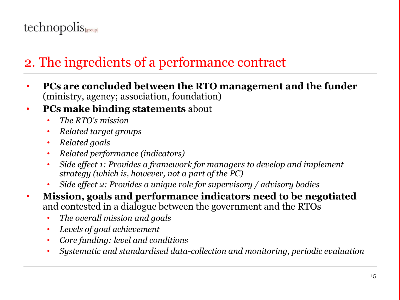## 2. The ingredients of a performance contract

- **PCs are concluded between the RTO management and the funder** (ministry, agency; association, foundation)
- **PCs make binding statements** about
	- *The RTO's mission*
	- *Related target groups*
	- *Related goals*
	- *Related performance (indicators)*
	- *Side effect 1: Provides a framework for managers to develop and implement strategy (which is, however, not a part of the PC)*
	- *Side effect 2: Provides a unique role for supervisory / advisory bodies*
- **Mission, goals and performance indicators need to be negotiated** and contested in a dialogue between the government and the RTOs
	- *The overall mission and goals*
	- *Levels of goal achievement*
	- *Core funding: level and conditions*
	- *Systematic and standardised data-collection and monitoring, periodic evaluation*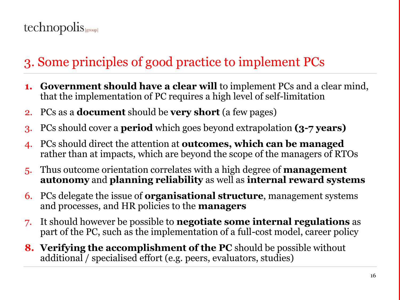## 3. Some principles of good practice to implement PCs

- **1. Government should have a clear will** to implement PCs and a clear mind, that the implementation of PC requires a high level of self-limitation
- 2. PCs as a **document** should be **very short** (a few pages)
- 3. PCs should cover a **period** which goes beyond extrapolation **(3-7 years)**
- 4. PCs should direct the attention at **outcomes, which can be managed** rather than at impacts, which are beyond the scope of the managers of RTOs
- 5. Thus outcome orientation correlates with a high degree of **management autonomy** and **planning reliability** as well as **internal reward systems**
- 6. PCs delegate the issue of **organisational structure**, management systems and processes, and HR policies to the **managers**
- 7. It should however be possible to **negotiate some internal regulations** as part of the PC, such as the implementation of a full-cost model, career policy
- **8. Verifying the accomplishment of the PC** should be possible without additional / specialised effort (e.g. peers, evaluators, studies)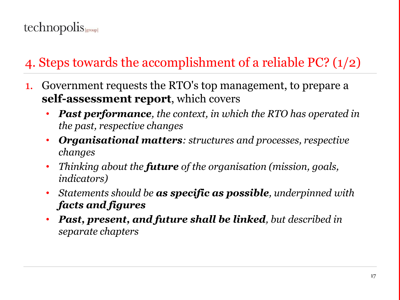## 4. Steps towards the accomplishment of a reliable PC? (1/2)

- 1. Government requests the RTO's top management, to prepare a **self-assessment report**, which covers
	- *Past performance, the context, in which the RTO has operated in the past, respective changes*
	- *Organisational matters: structures and processes, respective changes*
	- *Thinking about the future of the organisation (mission, goals, indicators)*
	- *Statements should be as specific as possible, underpinned with facts and figures*
	- *Past, present, and future shall be linked, but described in separate chapters*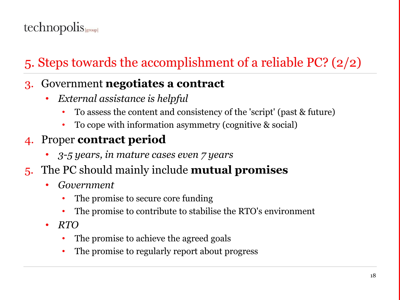## 5. Steps towards the accomplishment of a reliable PC? (2/2)

#### 3. Government **negotiates a contract**

- *External assistance is helpful*
	- To assess the content and consistency of the 'script' (past & future)
	- To cope with information asymmetry (cognitive & social)

### 4. Proper **contract period**

- *3-5 years, in mature cases even 7 years*
- 5. The PC should mainly include **mutual promises**
	- *Government*
		- The promise to secure core funding
		- The promise to contribute to stabilise the RTO's environment
	- *RTO*
		- The promise to achieve the agreed goals
		- The promise to regularly report about progress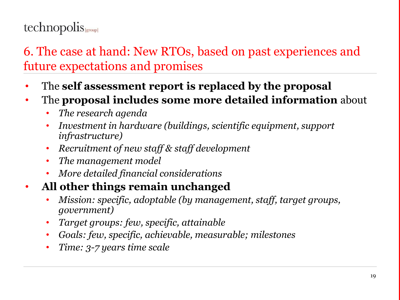### 6. The case at hand: New RTOs, based on past experiences and future expectations and promises

- The **self assessment report is replaced by the proposal**
- The **proposal includes some more detailed information** about
	- *The research agenda*
	- *Investment in hardware (buildings, scientific equipment, support infrastructure)*
	- *Recruitment of new staff & staff development*
	- *The management model*
	- *More detailed financial considerations*
- **All other things remain unchanged**
	- *Mission: specific, adoptable (by management, staff, target groups, government)*
	- *Target groups: few, specific, attainable*
	- *Goals: few, specific, achievable, measurable; milestones*
	- *Time: 3-7 years time scale*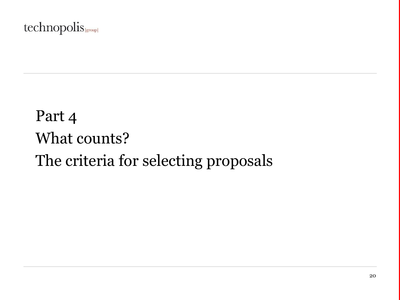### technopolis sproup

# Part 4 What counts? The criteria for selecting proposals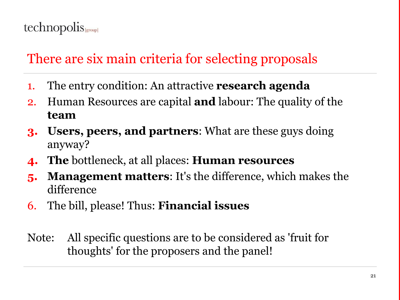## There are six main criteria for selecting proposals

- 1. The entry condition: An attractive **research agenda**
- 2. Human Resources are capital **and** labour: The quality of the **team**
- **3. Users, peers, and partners**: What are these guys doing anyway?
- **4. The** bottleneck, at all places: **Human resources**
- **5. Management matters**: It's the difference, which makes the difference
- 6. The bill, please! Thus: **Financial issues**
- Note: All specific questions are to be considered as 'fruit for thoughts' for the proposers and the panel!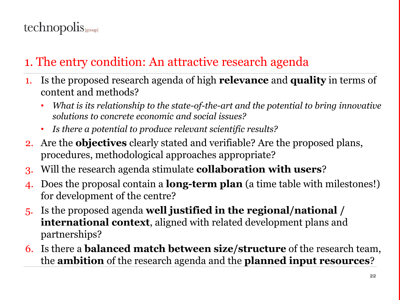## 1. The entry condition: An attractive research agenda

- 1. Is the proposed research agenda of high **relevance** and **quality** in terms of content and methods?
	- *What is its relationship to the state-of-the-art and the potential to bring innovative solutions to concrete economic and social issues?*
	- *Is there a potential to produce relevant scientific results?*
- 2. Are the **objectives** clearly stated and verifiable? Are the proposed plans, procedures, methodological approaches appropriate?
- 3. Will the research agenda stimulate **collaboration with users**?
- 4. Does the proposal contain a **long-term plan** (a time table with milestones!) for development of the centre?
- 5. Is the proposed agenda **well justified in the regional/national / international context**, aligned with related development plans and partnerships?
- 6. Is there a **balanced match between size/structure** of the research team, the **ambition** of the research agenda and the **planned input resources**?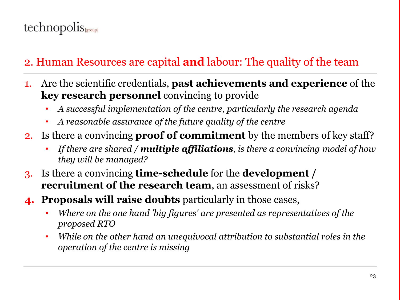#### 2. Human Resources are capital **and** labour: The quality of the team

- 1. Are the scientific credentials, **past achievements and experience** of the **key research personnel** convincing to provide
	- *A successful implementation of the centre, particularly the research agenda*
	- *A reasonable assurance of the future quality of the centre*
- 2. Is there a convincing **proof of commitment** by the members of key staff?
	- *If there are shared / multiple affiliations, is there a convincing model of how they will be managed?*
- 3. Is there a convincing **time-schedule** for the **development / recruitment of the research team**, an assessment of risks?
- **4. Proposals will raise doubts** particularly in those cases,
	- *Where on the one hand 'big figures' are presented as representatives of the proposed RTO*
	- *While on the other hand an unequivocal attribution to substantial roles in the operation of the centre is missing*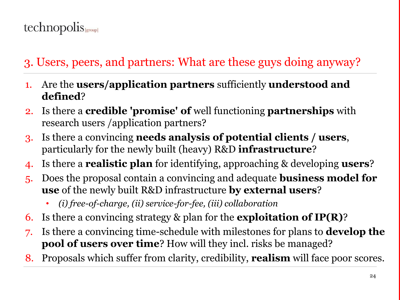### 3. Users, peers, and partners: What are these guys doing anyway?

- 1. Are the **users/application partners** sufficiently **understood and defined**?
- 2. Is there a **credible 'promise' of** well functioning **partnerships** with research users /application partners?
- 3. Is there a convincing **needs analysis of potential clients / users**, particularly for the newly built (heavy) R&D **infrastructure**?
- 4. Is there a **realistic plan** for identifying, approaching & developing **users**?
- 5. Does the proposal contain a convincing and adequate **business model for use** of the newly built R&D infrastructure **by external users**?
	- *(i) free-of-charge, (ii) service-for-fee, (iii) collaboration*
- 6. Is there a convincing strategy & plan for the **exploitation of IP(R)**?
- 7. Is there a convincing time-schedule with milestones for plans to **develop the pool of users over time**? How will they incl. risks be managed?
- 8. Proposals which suffer from clarity, credibility, **realism** will face poor scores.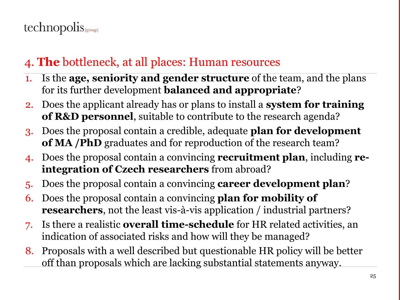### 4. **The** bottleneck, at all places: Human resources

- 1. Is the **age, seniority and gender structure** of the team, and the plans for its further development **balanced and appropriate**?
- 2. Does the applicant already has or plans to install a **system for training of R&D personnel**, suitable to contribute to the research agenda?
- 3. Does the proposal contain a credible, adequate **plan for development of MA /PhD** graduates and for reproduction of the research team?
- 4. Does the proposal contain a convincing **recruitment plan**, including **reintegration of Czech researchers** from abroad?
- 5. Does the proposal contain a convincing **career development plan**?
- 6. Does the proposal contain a convincing **plan for mobility of researchers**, not the least vis-à-vis application / industrial partners?
- 7. Is there a realistic **overall time-schedule** for HR related activities, an indication of associated risks and how will they be managed?
- 8. Proposals with a well described but questionable HR policy will be better off than proposals which are lacking substantial statements anyway.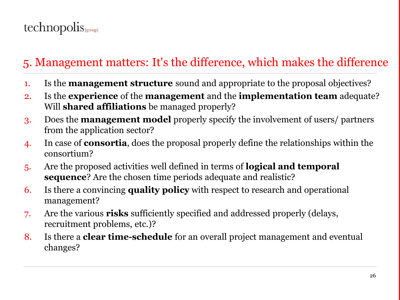### 5. Management matters: It's the difference, which makes the difference

- 1. Is the **management structure** sound and appropriate to the proposal objectives?
- 2. Is the **experience** of the **management** and the **implementation team** adequate? Will **shared affiliations** be managed properly?
- 3. Does the **management model** properly specify the involvement of users/ partners from the application sector?
- 4. In case of **consortia**, does the proposal properly define the relationships within the consortium?
- 5. Are the proposed activities well defined in terms of **logical and temporal sequence**? Are the chosen time periods adequate and realistic?
- 6. Is there a convincing **quality policy** with respect to research and operational management?
- 7. Are the various **risks** sufficiently specified and addressed properly (delays, recruitment problems, etc.)?
- 8. Is there a **clear time-schedule** for an overall project management and eventual changes?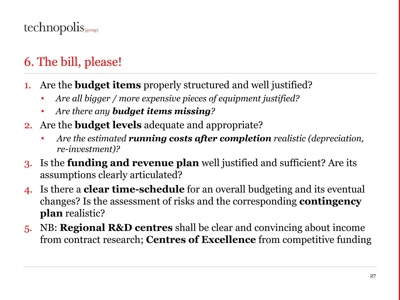## 6. The bill, please!

- 1. Are the **budget items** properly structured and well justified?
	- *Are all bigger / more expensive pieces of equipment justified?*
	- *Are there any budget items missing?*
- 2. Are the **budget levels** adequate and appropriate?
	- *Are the estimated running costs after completion realistic (depreciation, re-investment)?*
- 3. Is the **funding and revenue plan** well justified and sufficient? Are its assumptions clearly articulated?
- 4. Is there a **clear time-schedule** for an overall budgeting and its eventual changes? Is the assessment of risks and the corresponding **contingency plan** realistic?
- 5. NB: **Regional R&D centres** shall be clear and convincing about income from contract research; **Centres of Excellence** from competitive funding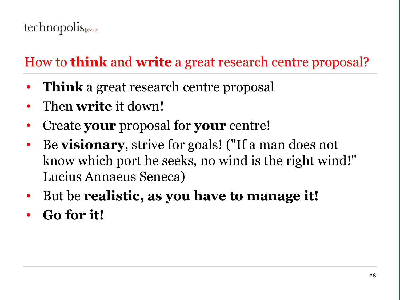## How to **think** and **write** a great research centre proposal?

- **Think** a great research centre proposal
- Then **write** it down!
- Create **your** proposal for **your** centre!
- Be **visionary**, strive for goals! ("If a man does not know which port he seeks, no wind is the right wind!" Lucius Annaeus Seneca)
- But be **realistic, as you have to manage it!**
- **Go for it!**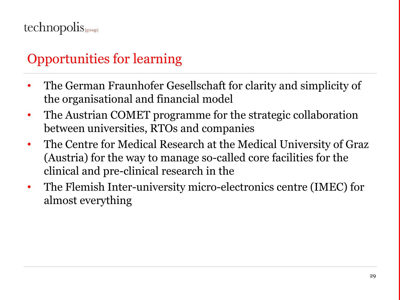## Opportunities for learning

- The German Fraunhofer Gesellschaft for clarity and simplicity of the organisational and financial model
- The Austrian COMET programme for the strategic collaboration between universities, RTOs and companies
- The Centre for Medical Research at the Medical University of Graz (Austria) for the way to manage so-called core facilities for the clinical and pre-clinical research in the
- The Flemish Inter-university micro-electronics centre (IMEC) for almost everything